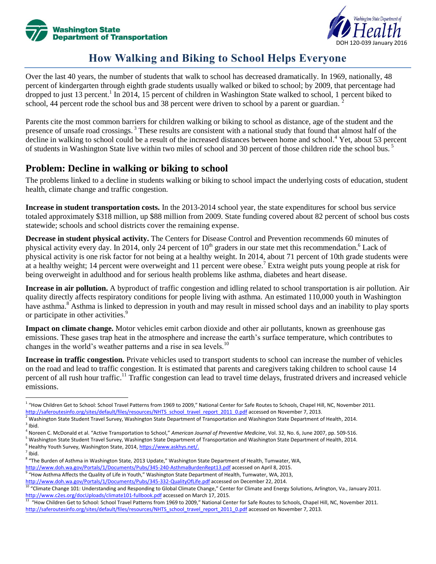



# **How Walking and Biking to School Helps Everyone**

Over the last 40 years, the number of students that walk to school has decreased dramatically. In 1969, nationally, 48 percent of kindergarten through eighth grade students usually walked or biked to school; by 2009, that percentage had dropped to just 13 percent.<sup>1</sup> In 2014, 15 percent of children in Washington State walked to school, 1 percent biked to school, 44 percent rode the school bus and 38 percent were driven to school by a parent or guardian. <sup>2</sup>

Parents cite the most common barriers for children walking or biking to school as distance, age of the student and the presence of unsafe road crossings.<sup>3</sup> These results are consistent with a national study that found that almost half of the decline in walking to school could be a result of the increased distances between home and school.<sup>4</sup> Yet, about 53 percent of students in Washington State live within two miles of school and 30 percent of those children ride the school bus. <sup>5</sup>

#### **Problem: Decline in walking or biking to school**

The problems linked to a decline in students walking or biking to school impact the underlying costs of education, student health, climate change and traffic congestion.

**Increase in student transportation costs.** In the 2013-2014 school year, the state expenditures for school bus service totaled approximately \$318 million, up \$88 million from 2009. State funding covered about 82 percent of school bus costs statewide; schools and school districts cover the remaining expense.

**Decrease in student physical activity.** The Centers for Disease Control and Prevention recommends 60 minutes of physical activity every day. In 2014, only 24 percent of  $10<sup>th</sup>$  graders in our state met this recommendation.<sup>6</sup> Lack of physical activity is one risk factor for not being at a healthy weight. In 2014, about 71 percent of 10th grade students were at a healthy weight; 14 percent were overweight and 11 percent were obese.<sup>7</sup> Extra weight puts young people at risk for being overweight in adulthood and for serious health problems like asthma, diabetes and heart disease.

**Increase in air pollution.** A byproduct of traffic congestion and idling related to school transportation is air pollution. Air quality directly affects respiratory conditions for people living with asthma. An estimated 110,000 youth in Washington have asthma.<sup>8</sup> Asthma is linked to depression in youth and may result in missed school days and an inability to play sports or participate in other activities.<sup>9</sup>

**Impact on climate change.** Motor vehicles emit carbon dioxide and other air pollutants, known as greenhouse gas emissions. These gases trap heat in the atmosphere and increase the earth's surface temperature, which contributes to changes in the world's weather patterns and a rise in sea levels.<sup>10</sup>

**Increase in traffic congestion.** Private vehicles used to transport students to school can increase the number of vehicles on the road and lead to traffic congestion. It is estimated that parents and caregivers taking children to school cause 14 percent of all rush hour traffic.<sup>11</sup> Traffic congestion can lead to travel time delays, frustrated drivers and increased vehicle emissions.

 $<sup>7</sup>$  Ibid.</sup>

 $\overline{\phantom{a}}$ 

<http://www.doh.wa.gov/Portals/1/Documents/Pubs/345-240-AsthmaBurdenRept13.pdf> accessed on April 8, 2015.

 $^1$  "How Children Get to School: School Travel Patterns from 1969 to 2009," National Center for Safe Routes to Schools, Chapel Hill, NC, November 2011. [http://saferoutesinfo.org/sites/default/files/resources/NHTS\\_school\\_travel\\_report\\_2011\\_0.pdf](http://saferoutesinfo.org/sites/default/files/resources/NHTS_school_travel_report_2011_0.pdf) accessed on November 7, 2013.

<sup>&</sup>lt;sup>2</sup> Washington State Student Travel Survey, Washington State Department of Transportation and Washington State Department of Health, 2014.  $3$  Ibid.

<sup>4</sup> Noreen C. McDonald et al. "Active Transportation to School," *American Journal of Preventive Medicine*, Vol. 32, No. 6, June 2007, pp. 509-516.

<sup>&</sup>lt;sup>5</sup> Washington State Student Travel Survey, Washington State Department of Transportation and Washington State Department of Health, 2014. <sup>6</sup> Healthy Youth Survey, Washington State, 2014, <u>https://www.askhys.net/.</u>

<sup>&</sup>lt;sup>8</sup> "The Burden of Asthma in Washington State, 2013 Update," Washington State Department of Health, Tumwater, WA,

<sup>&</sup>lt;sup>9</sup> "How Asthma Affects the Quality of Life in Youth," Washington State Department of Health, Tumwater, WA, 2013,

<http://www.doh.wa.gov/Portals/1/Documents/Pubs/345-332-QualityOfLife.pdf> accessed on December 22, 2014.

<sup>10 &</sup>quot;Climate Change 101: Understanding and Responding to Global Climate Change," Center for Climate and Energy Solutions, Arlington, Va., January 2011. <http://www.c2es.org/docUploads/climate101-fullbook.pdf> accessed on March 17, 2015.

 $^{11}$  "How Children Get to School: School Travel Patterns from 1969 to 2009," National Center for Safe Routes to Schools, Chapel Hill, NC, November 2011. [http://saferoutesinfo.org/sites/default/files/resources/NHTS\\_school\\_travel\\_report\\_2011\\_0.pdf](http://saferoutesinfo.org/sites/default/files/resources/NHTS_school_travel_report_2011_0.pdf) accessed on November 7, 2013.